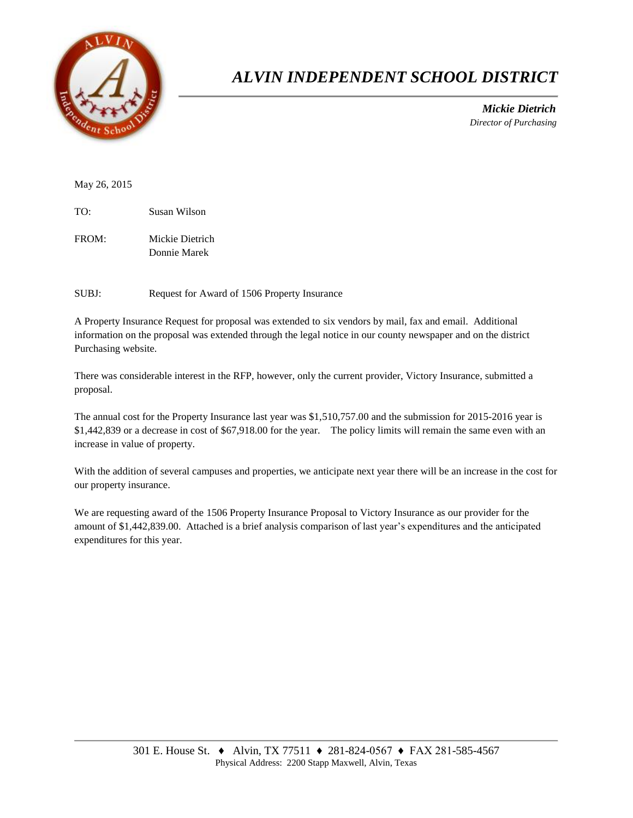

## *ALVIN INDEPENDENT SCHOOL DISTRICT*

 *Mickie Dietrich Director of Purchasing*

May 26, 2015

TO: Susan Wilson

FROM: Mickie Dietrich Donnie Marek

SUBJ: Request for Award of 1506 Property Insurance

A Property Insurance Request for proposal was extended to six vendors by mail, fax and email. Additional information on the proposal was extended through the legal notice in our county newspaper and on the district Purchasing website.

There was considerable interest in the RFP, however, only the current provider, Victory Insurance, submitted a proposal.

The annual cost for the Property Insurance last year was \$1,510,757.00 and the submission for 2015-2016 year is \$1,442,839 or a decrease in cost of \$67,918.00 for the year. The policy limits will remain the same even with an increase in value of property.

With the addition of several campuses and properties, we anticipate next year there will be an increase in the cost for our property insurance.

We are requesting award of the 1506 Property Insurance Proposal to Victory Insurance as our provider for the amount of \$1,442,839.00. Attached is a brief analysis comparison of last year's expenditures and the anticipated expenditures for this year.